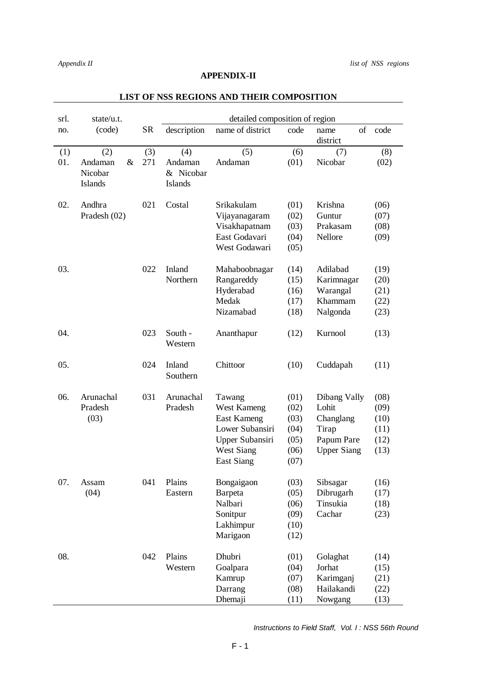## **APPENDIX-II**

| srl. | state/u.t.                            |           | detailed composition of region         |                    |      |                        |      |  |  |  |  |
|------|---------------------------------------|-----------|----------------------------------------|--------------------|------|------------------------|------|--|--|--|--|
| no.  | (code)                                | <b>SR</b> | description                            | name of district   | code | of<br>name<br>district | code |  |  |  |  |
| (1)  | (2)                                   | (3)       | (4)                                    | (5)                | (6)  | (7)                    | (8)  |  |  |  |  |
| 01.  | $\&$<br>Andaman<br>Nicobar<br>Islands | 271       | Andaman<br>& Nicobar<br><b>Islands</b> | Andaman            | (01) | Nicobar                | (02) |  |  |  |  |
| 02.  | Andhra                                | 021       | Costal                                 | Srikakulam         | (01) | Krishna                | (06) |  |  |  |  |
|      | Pradesh $(02)$                        |           |                                        | Vijayanagaram      | (02) | Guntur                 | (07) |  |  |  |  |
|      |                                       |           |                                        | Visakhapatnam      | (03) | Prakasam               | (08) |  |  |  |  |
|      |                                       |           |                                        | East Godavari      | (04) | Nellore                | (09) |  |  |  |  |
|      |                                       |           |                                        | West Godawari      | (05) |                        |      |  |  |  |  |
| 03.  |                                       | 022       | Inland                                 | Mahaboobnagar      | (14) | Adilabad               | (19) |  |  |  |  |
|      |                                       |           | Northern                               | Rangareddy         | (15) | Karimnagar             | (20) |  |  |  |  |
|      |                                       |           |                                        | Hyderabad          | (16) | Warangal               | (21) |  |  |  |  |
|      |                                       |           |                                        | Medak              | (17) | Khammam                | (22) |  |  |  |  |
|      |                                       |           |                                        | Nizamabad          | (18) | Nalgonda               | (23) |  |  |  |  |
| 04.  |                                       | 023       | South -<br>Western                     | Ananthapur         | (12) | Kurnool                | (13) |  |  |  |  |
| 05.  |                                       | 024       | Inland<br>Southern                     | Chittoor           | (10) | Cuddapah               | (11) |  |  |  |  |
| 06.  | Arunachal                             | 031       | Arunachal                              | Tawang             | (01) | Dibang Vally           | (08) |  |  |  |  |
|      | Pradesh                               |           | Pradesh                                | West Kameng        | (02) | Lohit                  | (09) |  |  |  |  |
|      | (03)                                  |           |                                        | <b>East Kameng</b> | (03) | Changlang              | (10) |  |  |  |  |
|      |                                       |           |                                        | Lower Subansiri    | (04) | Tirap                  | (11) |  |  |  |  |
|      |                                       |           |                                        | Upper Subansiri    | (05) | Papum Pare             | (12) |  |  |  |  |
|      |                                       |           |                                        | <b>West Siang</b>  | (06) | <b>Upper Siang</b>     | (13) |  |  |  |  |
|      |                                       |           |                                        | East Siang         | (07) |                        |      |  |  |  |  |
| 07.  | Assam                                 | 041       | Plains                                 | Bongaigaon         | (03) | Sibsagar               | (16) |  |  |  |  |
|      | (04)                                  |           | Eastern                                | Barpeta            | (05) | Dibrugarh              | (17) |  |  |  |  |
|      |                                       |           |                                        | Nalbari            | (06) | Tinsukia               | (18) |  |  |  |  |
|      |                                       |           |                                        | Sonitpur           | (09) | Cachar                 | (23) |  |  |  |  |
|      |                                       |           |                                        | Lakhimpur          | (10) |                        |      |  |  |  |  |
|      |                                       |           |                                        | Marigaon           | (12) |                        |      |  |  |  |  |
| 08.  |                                       | 042       | Plains                                 | Dhubri             | (01) | Golaghat               | (14) |  |  |  |  |
|      |                                       |           | Western                                | Goalpara           | (04) | Jorhat                 | (15) |  |  |  |  |
|      |                                       |           |                                        | Kamrup             | (07) | Karimganj              | (21) |  |  |  |  |
|      |                                       |           |                                        | Darrang            | (08) | Hailakandi             | (22) |  |  |  |  |
|      |                                       |           |                                        | Dhemaji            | (11) | Nowgang                | (13) |  |  |  |  |

## **LIST OF NSS REGIONS AND THEIR COMPOSITION**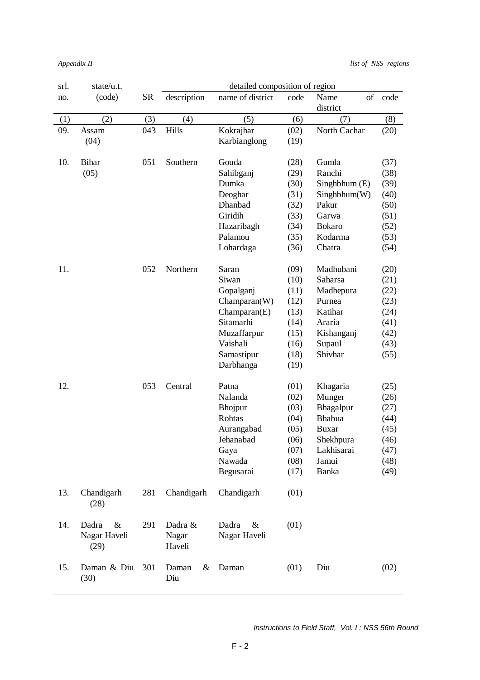*Appendix II list of NSS regions*

| srl. | state/u.t.                            |     |                            | detailed composition of region |      |                        |      |
|------|---------------------------------------|-----|----------------------------|--------------------------------|------|------------------------|------|
| no.  | (code)                                | SR  | description                | name of district               | code | Name<br>of<br>district | code |
| (1)  | (2)                                   | (3) | (4)                        | (5)                            | (6)  | (7)                    | (8)  |
| 09.  | Assam                                 | 043 | Hills                      | Kokrajhar                      | (02) | North Cachar           | (20) |
|      | (04)                                  |     |                            | Karbianglong                   | (19) |                        |      |
| 10.  | <b>Bihar</b>                          | 051 | Southern                   | Gouda                          | (28) | Gumla                  | (37) |
|      | (05)                                  |     |                            | Sahibganj                      | (29) | Ranchi                 | (38) |
|      |                                       |     |                            | Dumka                          | (30) | Singhbhum (E)          | (39) |
|      |                                       |     |                            | Deoghar                        | (31) | Singhblum(W)           | (40) |
|      |                                       |     |                            | Dhanbad                        | (32) | Pakur                  | (50) |
|      |                                       |     |                            | Giridih                        | (33) | Garwa                  | (51) |
|      |                                       |     |                            | Hazaribagh                     | (34) | <b>Bokaro</b>          | (52) |
|      |                                       |     |                            | Palamou                        | (35) | Kodarma                | (53) |
|      |                                       |     |                            | Lohardaga                      | (36) | Chatra                 | (54) |
| 11.  |                                       | 052 | Northern                   | Saran                          | (09) | Madhubani              | (20) |
|      |                                       |     |                            | Siwan                          | (10) | Saharsa                | (21) |
|      |                                       |     |                            | Gopalganj                      | (11) | Madhepura              | (22) |
|      |                                       |     |                            | Champaran(W)                   | (12) | Purnea                 | (23) |
|      |                                       |     |                            | Champaran(E)                   | (13) | Katihar                | (24) |
|      |                                       |     |                            | Sitamarhi                      | (14) | Araria                 | (41) |
|      |                                       |     |                            | Muzaffarpur                    | (15) | Kishanganj             | (42) |
|      |                                       |     |                            | Vaishali                       | (16) | Supaul                 | (43) |
|      |                                       |     |                            | Samastipur                     | (18) | Shivhar                | (55) |
|      |                                       |     |                            | Darbhanga                      | (19) |                        |      |
| 12.  |                                       | 053 | Central                    | Patna                          | (01) | Khagaria               | (25) |
|      |                                       |     |                            | Nalanda                        | (02) | Munger                 | (26) |
|      |                                       |     |                            | Bhojpur                        | (03) | Bhagalpur              | (27) |
|      |                                       |     |                            | Rohtas                         | (04) | Bhabua                 | (44) |
|      |                                       |     |                            | Aurangabad                     | (05) | <b>Buxar</b>           | (45) |
|      |                                       |     |                            | Jehanabad                      | (06) | Shekhpura              | (46) |
|      |                                       |     |                            | Gaya                           | (07) | Lakhisarai             | (47) |
|      |                                       |     |                            | Nawada                         | (08) | Jamui                  | (48) |
|      |                                       |     |                            | Begusarai                      | (17) | Banka                  | (49) |
| 13.  | Chandigarh<br>(28)                    | 281 | Chandigarh                 | Chandigarh                     | (01) |                        |      |
| 14.  | $\&$<br>Dadra<br>Nagar Haveli<br>(29) | 291 | Dadra &<br>Nagar<br>Haveli | Dadra<br>&<br>Nagar Haveli     | (01) |                        |      |
| 15.  | Daman & Diu<br>(30)                   | 301 | Daman<br>&<br>Diu          | Daman                          | (01) | Diu                    | (02) |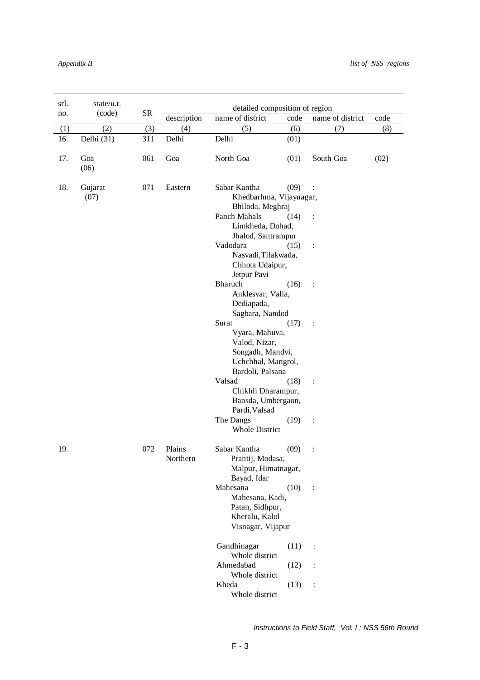| srl.                                                                                                                              | state/u.t.  |           | detailed composition of region |                                                                                                                           |                |                  |      |  |  |
|-----------------------------------------------------------------------------------------------------------------------------------|-------------|-----------|--------------------------------|---------------------------------------------------------------------------------------------------------------------------|----------------|------------------|------|--|--|
| no.                                                                                                                               | (code)      | <b>SR</b> | description                    | name of district                                                                                                          | code           | name of district | code |  |  |
| (1)                                                                                                                               | (2)         | (3)       | (4)                            | (5)                                                                                                                       | (6)            | (7)              | (8)  |  |  |
| 16.                                                                                                                               | Delhi (31)  | 311       | Delhi                          | Delhi                                                                                                                     | (01)           |                  |      |  |  |
| 17.                                                                                                                               | Goa<br>(06) | 061       | Goa                            | North Goa                                                                                                                 | (01)           | South Goa        | (02) |  |  |
| 18.<br>Gujarat<br>071<br>Eastern<br>Sabar Kantha<br>(09)<br>$\ddot{\cdot}$<br>Khedbarhma, Vijaynagar,<br>(07)<br>Bhiloda, Meghraj |             |           |                                |                                                                                                                           |                |                  |      |  |  |
|                                                                                                                                   |             |           |                                | Panch Mahals<br>Limkheda, Dohad,                                                                                          | (14)           | $\ddot{\cdot}$   |      |  |  |
|                                                                                                                                   |             |           |                                | Jhalod, Santrampur<br>Vadodara<br>Nasvadi, Tilakwada,                                                                     |                |                  |      |  |  |
|                                                                                                                                   |             |           |                                | Chhota Udaipur,<br>Jetpur Pavi                                                                                            |                |                  |      |  |  |
|                                                                                                                                   |             |           |                                | Bharuch<br>Anklesvar, Valia,<br>Dediapada,                                                                                | (16)           | $\ddot{\cdot}$   |      |  |  |
|                                                                                                                                   |             |           |                                | Sagbara, Nandod<br>Surat<br>Vyara, Mahuva,<br>Valod, Nizar,<br>Songadh, Mandvi,<br>Uchchhal, Mangrol,<br>Bardoli, Palsana | (17)           | $\ddot{\cdot}$   |      |  |  |
|                                                                                                                                   |             |           |                                | Valsad<br>Chikhli Dharampur,<br>Bansda, Umbergaon,<br>Pardi, Valsad                                                       | $\ddot{\cdot}$ |                  |      |  |  |
|                                                                                                                                   |             |           |                                | The Dangs<br><b>Whole District</b>                                                                                        | (19)           | $\ddot{\cdot}$   |      |  |  |
| 19.                                                                                                                               |             | 072       | Plains<br>Northern             | Sabar Kantha<br>Prantij, Modasa,<br>Malpur, Himatnagar,<br>Bayad, Idar                                                    | (09)           | $\ddot{\cdot}$   |      |  |  |
|                                                                                                                                   |             |           |                                | Mahesana<br>Mahesana, Kadi,<br>Patan, Sidhpur,<br>Kheralu, Kalol<br>Visnagar, Vijapur                                     | (10)           | $\ddot{\cdot}$   |      |  |  |
|                                                                                                                                   |             |           |                                | Gandhinagar<br>Whole district                                                                                             | (11)           | $\ddot{\cdot}$   |      |  |  |
|                                                                                                                                   |             |           |                                | Ahmedabad<br>Whole district                                                                                               | (12)           | $\vdots$         |      |  |  |
|                                                                                                                                   |             |           |                                | Kheda<br>Whole district                                                                                                   | (13)           | $\ddot{\cdot}$   |      |  |  |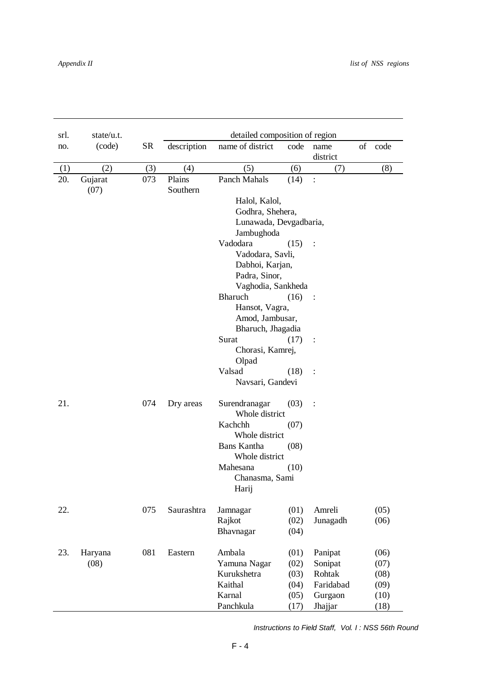| srl.            | state/u.t. |           |             | detailed composition of region |      |                |  |         |  |
|-----------------|------------|-----------|-------------|--------------------------------|------|----------------|--|---------|--|
| no.             | (code)     | <b>SR</b> | description | name of district               | code | name           |  | of code |  |
|                 |            |           |             |                                |      | district       |  |         |  |
| (1)             | (2)        | (3)       | (4)         | (5)                            | (6)  | (7)            |  | (8)     |  |
| 20.             | Gujarat    | 073       | Plains      | Panch Mahals                   | (14) | $\colon$       |  |         |  |
|                 | (07)       |           | Southern    |                                |      |                |  |         |  |
|                 |            |           |             | Halol, Kalol,                  |      |                |  |         |  |
|                 |            |           |             | Godhra, Shehera,               |      |                |  |         |  |
|                 |            |           |             | Lunawada, Devgadbaria,         |      |                |  |         |  |
|                 |            |           |             | Jambughoda                     |      |                |  |         |  |
|                 |            |           |             | Vadodara                       | (15) | $\ddot{\cdot}$ |  |         |  |
|                 |            |           |             | Vadodara, Savli,               |      |                |  |         |  |
|                 |            |           |             | Dabhoi, Karjan,                |      |                |  |         |  |
|                 |            |           |             | Padra, Sinor,                  |      |                |  |         |  |
|                 |            |           |             | Vaghodia, Sankheda             |      |                |  |         |  |
| Bharuch<br>(16) |            |           |             |                                |      |                |  |         |  |
|                 |            |           |             | Hansot, Vagra,                 |      |                |  |         |  |
|                 |            |           |             | Amod, Jambusar,                |      |                |  |         |  |
|                 |            |           |             | Bharuch, Jhagadia              |      |                |  |         |  |
|                 |            |           |             | Surat                          | (17) | $\ddot{\cdot}$ |  |         |  |
|                 |            |           |             | Chorasi, Kamrej,               |      |                |  |         |  |
|                 |            |           |             | Olpad                          |      |                |  |         |  |
|                 |            |           |             | Valsad                         | (18) | $\ddot{\cdot}$ |  |         |  |
|                 |            |           |             | Navsari, Gandevi               |      |                |  |         |  |
| 21.             |            | 074       | Dry areas   | Surendranagar                  | (03) |                |  |         |  |
|                 |            |           |             | Whole district                 |      |                |  |         |  |
|                 |            |           |             | Kachchh                        | (07) |                |  |         |  |
|                 |            |           |             | Whole district                 |      |                |  |         |  |
|                 |            |           |             | <b>Bans Kantha</b>             | (08) |                |  |         |  |
|                 |            |           |             | Whole district                 |      |                |  |         |  |
|                 |            |           |             | Mahesana                       | (10) |                |  |         |  |
|                 |            |           |             | Chanasma, Sami                 |      |                |  |         |  |
|                 |            |           |             | Harij                          |      |                |  |         |  |
| 22.             |            | 075       | Saurashtra  | Jamnagar                       | (01) | Amreli         |  | (05)    |  |
|                 |            |           |             | Rajkot                         | (02) | Junagadh       |  | (06)    |  |
|                 |            |           |             | Bhavnagar                      | (04) |                |  |         |  |
| 23.             | Haryana    | 081       | Eastern     | Ambala                         | (01) | Panipat        |  | (06)    |  |
|                 | (08)       |           |             | Yamuna Nagar                   | (02) | Sonipat        |  | (07)    |  |
|                 |            |           |             | Kurukshetra                    | (03) | Rohtak         |  | (08)    |  |
|                 |            |           |             | Kaithal                        | (04) | Faridabad      |  | (09)    |  |
|                 |            |           |             | Karnal                         | (05) | Gurgaon        |  | (10)    |  |
|                 |            |           |             | Panchkula                      | (17) | Jhajjar        |  | (18)    |  |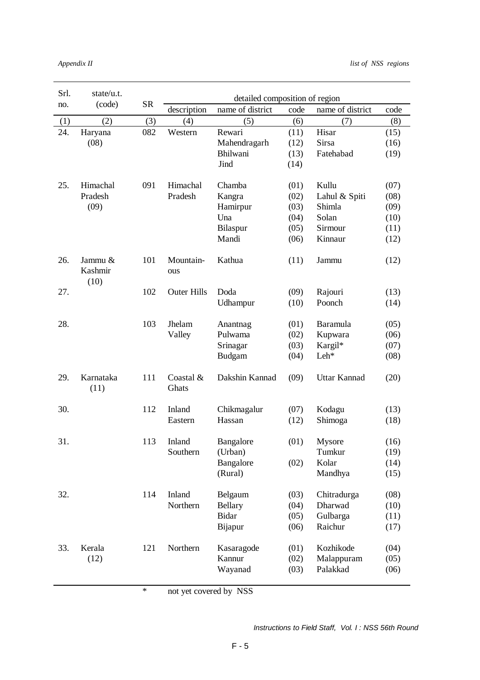| Srl. | state/u.t.                 |           | detailed composition of region |                  |      |                  |      |  |  |
|------|----------------------------|-----------|--------------------------------|------------------|------|------------------|------|--|--|
| no.  | (code)                     | <b>SR</b> | description                    | name of district | code | name of district | code |  |  |
| (1)  | (2)                        | (3)       | (4)                            | (5)              | (6)  | (7)              | (8)  |  |  |
| 24.  | Haryana                    | 082       | Western                        | Rewari           | (11) | Hisar            | (15) |  |  |
|      | (08)                       |           |                                | Mahendragarh     | (12) | Sirsa            | (16) |  |  |
|      |                            |           |                                | Bhilwani         | (13) | Fatehabad        | (19) |  |  |
|      |                            |           |                                | Jind             | (14) |                  |      |  |  |
| 25.  | Himachal                   | 091       | Himachal                       | Chamba           | (01) | Kullu            | (07) |  |  |
|      | Pradesh                    |           | Pradesh                        | Kangra           | (02) | Lahul & Spiti    | (08) |  |  |
|      | (09)                       |           |                                | Hamirpur         | (03) | Shimla           | (09) |  |  |
|      |                            |           |                                | Una              | (04) | Solan            | (10) |  |  |
|      |                            |           |                                | Bilaspur         | (05) | Sirmour          | (11) |  |  |
|      |                            |           |                                | Mandi            | (06) | Kinnaur          | (12) |  |  |
| 26.  | Jammu &<br>Kashmir<br>(10) | 101       | Mountain-<br>ous               | Kathua           | (11) | Jammu            | (12) |  |  |
| 27.  |                            | 102       | <b>Outer Hills</b>             | Doda             | (09) | Rajouri          | (13) |  |  |
|      |                            |           |                                | Udhampur         | (10) | Poonch           | (14) |  |  |
|      |                            |           |                                |                  |      |                  |      |  |  |
| 28.  |                            | 103       | Jhelam                         | Anantnag         | (01) | Baramula         | (05) |  |  |
|      |                            |           | Valley                         | Pulwama          | (02) | Kupwara          | (06) |  |  |
|      |                            |           |                                | Srinagar         | (03) | Kargil*          | (07) |  |  |
|      |                            |           |                                | Budgam           | (04) | Leh*             | (08) |  |  |
| 29.  | Karnataka<br>(11)          | 111       | Coastal &<br>Ghats             | Dakshin Kannad   | (09) | Uttar Kannad     | (20) |  |  |
| 30.  |                            | 112       | Inland                         | Chikmagalur      | (07) | Kodagu           | (13) |  |  |
|      |                            |           | Eastern                        | Hassan           | (12) | Shimoga          | (18) |  |  |
|      |                            |           |                                |                  |      |                  |      |  |  |
| 31.  |                            | 113       | Inland                         | Bangalore        | (01) | Mysore           | (16) |  |  |
|      |                            |           | Southern                       | (Urban)          |      | Tumkur           | (19) |  |  |
|      |                            |           |                                | Bangalore        | (02) | Kolar            | (14) |  |  |
|      |                            |           |                                | (Rural)          |      | Mandhya          | (15) |  |  |
| 32.  |                            | 114       | Inland                         | Belgaum          | (03) | Chitradurga      | (08) |  |  |
|      |                            |           | Northern                       | <b>Bellary</b>   | (04) | Dharwad          | (10) |  |  |
|      |                            |           |                                | <b>Bidar</b>     | (05) | Gulbarga         | (11) |  |  |
|      |                            |           |                                | Bijapur          | (06) | Raichur          | (17) |  |  |
|      |                            |           |                                |                  |      |                  |      |  |  |
| 33.  | Kerala                     | 121       | Northern                       | Kasaragode       | (01) | Kozhikode        | (04) |  |  |
|      | (12)                       |           |                                | Kannur           | (02) | Malappuram       | (05) |  |  |
|      |                            |           |                                | Wayanad          | (03) | Palakkad         | (06) |  |  |

\* not yet covered by NSS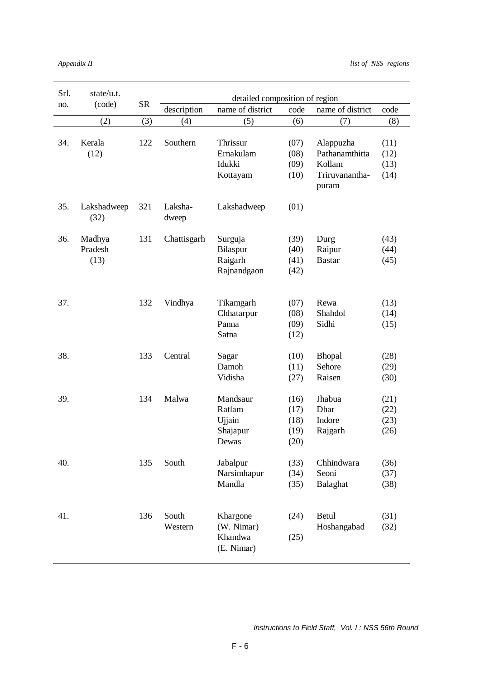| Srl. | state/u.t.                |           | detailed composition of region |                                                   |                                      |                                                         |                              |  |
|------|---------------------------|-----------|--------------------------------|---------------------------------------------------|--------------------------------------|---------------------------------------------------------|------------------------------|--|
| no.  | (code)                    | <b>SR</b> | description                    | name of district                                  | code                                 | name of district                                        | code                         |  |
|      | (2)                       | (3)       | (4)                            | (5)                                               | (6)                                  | (7)                                                     | (8)                          |  |
| 34.  | Kerala<br>(12)            | 122       | Southern                       | Thrissur<br>Ernakulam<br>Idukki<br>Kottayam       | (07)<br>(08)<br>(09)<br>(10)         | Alappuzha<br>Pathanamthitta<br>Kollam<br>Triruvanantha- | (11)<br>(12)<br>(13)<br>(14) |  |
| 35.  | Lakshadweep               | 321       | Laksha-                        | Lakshadweep                                       | (01)                                 | puram                                                   |                              |  |
|      | (32)                      |           | dweep                          |                                                   |                                      |                                                         |                              |  |
| 36.  | Madhya<br>Pradesh<br>(13) | 131       | Chattisgarh                    | Surguja<br>Bilaspur<br>Raigarh<br>Rajnandgaon     | (39)<br>(40)<br>(41)<br>(42)         | Durg<br>Raipur<br><b>Bastar</b>                         | (43)<br>(44)<br>(45)         |  |
| 37.  |                           | 132       | Vindhya                        | Tikamgarh<br>Chhatarpur<br>Panna<br>Satna         | (07)<br>(08)<br>(09)<br>(12)         | Rewa<br>Shahdol<br>Sidhi                                | (13)<br>(14)<br>(15)         |  |
| 38.  |                           | 133       | Central                        | Sagar<br>Damoh<br>Vidisha                         | (10)<br>(11)<br>(27)                 | <b>Bhopal</b><br>Sehore<br>Raisen                       | (28)<br>(29)<br>(30)         |  |
| 39.  |                           | 134       | Malwa                          | Mandsaur<br>Ratlam<br>Ujjain<br>Shajapur<br>Dewas | (16)<br>(17)<br>(18)<br>(19)<br>(20) | Jhabua<br>Dhar<br>Indore<br>Rajgarh                     | (21)<br>(22)<br>(23)<br>(26) |  |
| 40.  |                           | 135       | South                          | Jabalpur<br>Narsimhapur<br>Mandla                 | (33)<br>(34)<br>(35)                 | Chhindwara<br>Seoni<br>Balaghat                         | (36)<br>(37)<br>(38)         |  |
| 41.  |                           | 136       | South<br>Western               | Khargone<br>(W. Nimar)<br>Khandwa<br>(E. Nimar)   | (24)<br>(25)                         | <b>Betul</b><br>Hoshangabad                             | (31)<br>(32)                 |  |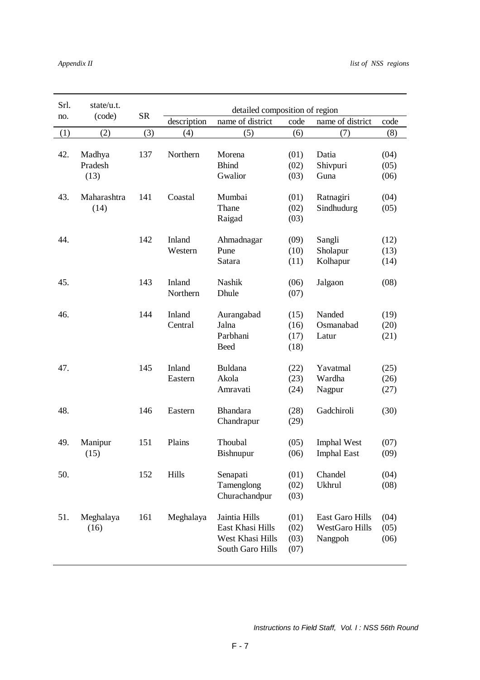| Srl. | state/u.t.                |           | detailed composition of region |                                                                           |                              |                                                     |                      |  |  |
|------|---------------------------|-----------|--------------------------------|---------------------------------------------------------------------------|------------------------------|-----------------------------------------------------|----------------------|--|--|
| no.  | (code)                    | <b>SR</b> | description                    | name of district                                                          | code                         | name of district                                    | code                 |  |  |
| (1)  | (2)                       | (3)       | (4)                            | (5)                                                                       | (6)                          | (7)                                                 | (8)                  |  |  |
| 42.  | Madhya<br>Pradesh<br>(13) | 137       | Northern                       | Morena<br><b>Bhind</b><br>Gwalior                                         | (01)<br>(02)<br>(03)         | Datia<br>Shivpuri<br>Guna                           | (04)<br>(05)<br>(06) |  |  |
| 43.  | Maharashtra<br>(14)       | 141       | Coastal                        | Mumbai<br>Thane<br>Raigad                                                 | (01)<br>(02)<br>(03)         | Ratnagiri<br>Sindhudurg                             | (04)<br>(05)         |  |  |
| 44.  |                           | 142       | Inland<br>Western              | Ahmadnagar<br>Pune<br>Satara                                              | (09)<br>(10)<br>(11)         | Sangli<br>Sholapur<br>Kolhapur                      | (12)<br>(13)<br>(14) |  |  |
| 45.  |                           | 143       | Inland<br>Northern             | <b>Nashik</b><br>Dhule                                                    | (06)<br>(07)                 | Jalgaon                                             | (08)                 |  |  |
| 46.  |                           | 144       | Inland<br>Central              | Aurangabad<br>Jalna<br>Parbhani<br><b>Beed</b>                            | (15)<br>(16)<br>(17)<br>(18) | Nanded<br>Osmanabad<br>Latur                        | (19)<br>(20)<br>(21) |  |  |
| 47.  |                           | 145       | Inland<br>Eastern              | Buldana<br>Akola<br>Amravati                                              | (22)<br>(23)<br>(24)         | Yavatmal<br>Wardha<br>Nagpur                        | (25)<br>(26)<br>(27) |  |  |
| 48.  |                           | 146       | Eastern                        | <b>Bhandara</b><br>Chandrapur                                             | (28)<br>(29)                 | Gadchiroli                                          | (30)                 |  |  |
| 49.  | Manipur<br>(15)           | 151       | Plains                         | Thoubal<br><b>Bishnupur</b>                                               | (05)<br>(06)                 | <b>Imphal West</b><br><b>Imphal East</b>            | (07)<br>(09)         |  |  |
| 50.  |                           | 152       | Hills                          | Senapati<br>Tamenglong<br>Churachandpur                                   | (01)<br>(02)<br>(03)         | Chandel<br><b>Ukhrul</b>                            | (04)<br>(08)         |  |  |
| 51.  | Meghalaya<br>(16)         | 161       | Meghalaya                      | Jaintia Hills<br>East Khasi Hills<br>West Khasi Hills<br>South Garo Hills | (01)<br>(02)<br>(03)<br>(07) | East Garo Hills<br><b>WestGaro Hills</b><br>Nangpoh | (04)<br>(05)<br>(06) |  |  |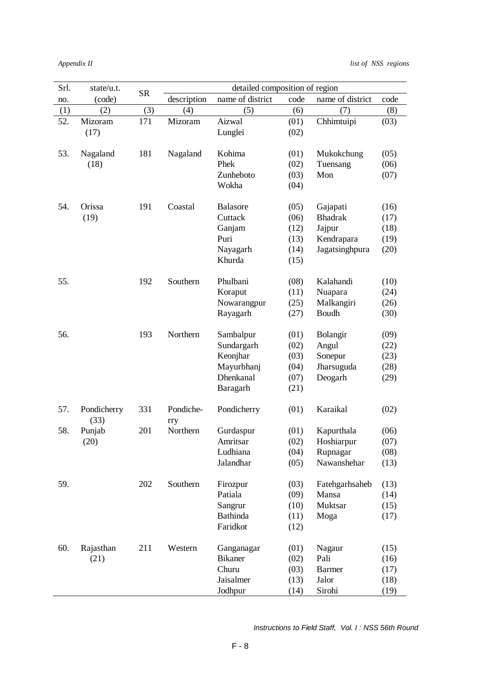| Srl. | state/u.t.  |           | detailed composition of region |                       |              |                          |              |
|------|-------------|-----------|--------------------------------|-----------------------|--------------|--------------------------|--------------|
| no.  | (code)      | <b>SR</b> | description                    | name of district      | code         | name of district         | code         |
| (1)  | (2)         | (3)       | (4)                            | (5)                   | (6)          | (7)                      | (8)          |
| 52.  | Mizoram     | 171       | Mizoram                        | Aizwal                | (01)         | Chhimtuipi               | (03)         |
|      | (17)        |           |                                | Lunglei               | (02)         |                          |              |
|      |             |           |                                |                       |              |                          |              |
| 53.  | Nagaland    | 181       | Nagaland                       | Kohima                | (01)         | Mukokchung               | (05)         |
|      | (18)        |           |                                | Phek                  | (02)         | Tuensang                 | (06)         |
|      |             |           |                                | Zunheboto             | (03)         | Mon                      | (07)         |
|      |             |           |                                | Wokha                 | (04)         |                          |              |
|      |             |           |                                |                       |              |                          |              |
| 54.  | Orissa      | 191       | Coastal                        | <b>Balasore</b>       | (05)         | Gajapati                 | (16)         |
|      | (19)        |           |                                | Cuttack               | (06)         | <b>Bhadrak</b>           | (17)         |
|      |             |           |                                | Ganjam                | (12)         | Jajpur                   | (18)         |
|      |             |           |                                | Puri                  | (13)         | Kendrapara               | (19)         |
|      |             |           |                                | Nayagarh              | (14)         | Jagatsinghpura           | (20)         |
|      |             |           |                                | Khurda                | (15)         |                          |              |
| 55.  |             | 192       | Southern                       | Phulbani              | (08)         | Kalahandi                | (10)         |
|      |             |           |                                | Koraput               | (11)         | Nuapara                  | (24)         |
|      |             |           |                                | Nowarangpur           | (25)         | Malkangiri               | (26)         |
|      |             |           |                                | Rayagarh              | (27)         | Boudh                    | (30)         |
|      |             |           |                                |                       |              |                          |              |
| 56.  |             | 193       | Northern                       | Sambalpur             | (01)         | Bolangir                 | (09)         |
|      |             |           |                                | Sundargarh            | (02)         | Angul                    | (22)         |
|      |             |           |                                | Keonjhar              | (03)         | Sonepur                  | (23)         |
|      |             |           |                                | Mayurbhanj            | (04)         | Jharsuguda               | (28)         |
|      |             |           |                                | <b>Dhenkanal</b>      | (07)         | Deogarh                  | (29)         |
|      |             |           |                                | Baragarh              | (21)         |                          |              |
|      |             |           |                                |                       |              |                          |              |
| 57.  | Pondicherry | 331       | Pondiche-                      | Pondicherry           | (01)         | Karaikal                 | (02)         |
| 58.  | (33)        | 201       | rry<br>Northern                | Gurdaspur             |              |                          |              |
|      | Punjab      |           |                                | Amritsar              | (01)         | Kapurthala<br>Hoshiarpur | (06)         |
|      | (20)        |           |                                |                       | (02)<br>(04) | Rupnagar                 | (07)<br>(08) |
|      |             |           |                                | Ludhiana<br>Jalandhar | (05)         | Nawanshehar              | (13)         |
|      |             |           |                                |                       |              |                          |              |
| 59.  |             | 202       | Southern                       | Firozpur              | (03)         | Fatehgarhsaheb           | (13)         |
|      |             |           |                                | Patiala               | (09)         | Mansa                    | (14)         |
|      |             |           |                                | Sangrur               | (10)         | Muktsar                  | (15)         |
|      |             |           |                                | Bathinda              | (11)         | Moga                     | (17)         |
|      |             |           |                                | Faridkot              | (12)         |                          |              |
|      |             |           |                                |                       |              |                          |              |
| 60.  | Rajasthan   | 211       | Western                        | Ganganagar            | (01)         | Nagaur                   | (15)         |
|      | (21)        |           |                                | <b>Bikaner</b>        | (02)         | Pali                     | (16)         |
|      |             |           |                                | Churu                 | (03)         | <b>Barmer</b>            | (17)         |
|      |             |           |                                | Jaisalmer             | (13)         | Jalor                    | (18)         |
|      |             |           |                                | Jodhpur               | (14)         | Sirohi                   | (19)         |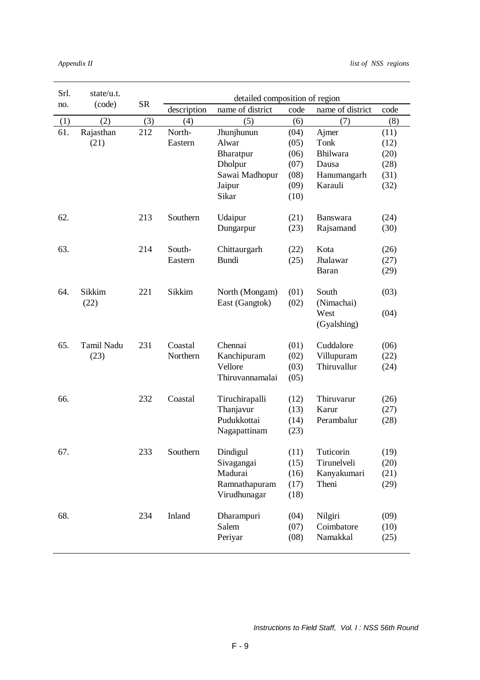| Srl. | state/ $u.t.$ |           | detailed composition of region |                  |      |                  |      |  |  |
|------|---------------|-----------|--------------------------------|------------------|------|------------------|------|--|--|
| no.  | (code)        | <b>SR</b> | description                    | name of district | code | name of district | code |  |  |
| (1)  | (2)           | (3)       | (4)                            | (5)              | (6)  | (7)              | (8)  |  |  |
| 61.  | Rajasthan     | 212       | North-                         | Jhunjhunun       | (04) | Ajmer            | (11) |  |  |
|      | (21)          |           | Eastern                        | Alwar            | (05) | Tonk             | (12) |  |  |
|      |               |           |                                | Bharatpur        | (06) | Bhilwara         | (20) |  |  |
|      |               |           |                                | Dholpur          | (07) | Dausa            | (28) |  |  |
|      |               |           |                                | Sawai Madhopur   | (08) | Hanumangarh      | (31) |  |  |
|      |               |           |                                | Jaipur           | (09) | Karauli          | (32) |  |  |
|      |               |           |                                | Sikar            | (10) |                  |      |  |  |
| 62.  |               | 213       | Southern                       | Udaipur          | (21) | <b>Banswara</b>  | (24) |  |  |
|      |               |           |                                | Dungarpur        | (23) | Rajsamand        | (30) |  |  |
| 63.  |               | 214       | South-                         | Chittaurgarh     | (22) | Kota             | (26) |  |  |
|      |               |           | Eastern                        | <b>Bundi</b>     | (25) | Jhalawar         | (27) |  |  |
|      |               |           |                                |                  |      | Baran            | (29) |  |  |
| 64.  | <b>Sikkim</b> | 221       | Sikkim                         | North (Mongam)   | (01) | South            | (03) |  |  |
|      | (22)          |           |                                | East (Gangtok)   | (02) | (Nimachai)       |      |  |  |
|      |               |           |                                |                  |      | West             | (04) |  |  |
|      |               |           |                                |                  |      | (Gyalshing)      |      |  |  |
| 65.  | Tamil Nadu    | 231       | Coastal                        | Chennai          | (01) | Cuddalore        | (06) |  |  |
|      | (23)          |           | Northern                       | Kanchipuram      | (02) | Villupuram       | (22) |  |  |
|      |               |           |                                | Vellore          | (03) | Thiruvallur      | (24) |  |  |
|      |               |           |                                | Thiruvannamalai  | (05) |                  |      |  |  |
| 66.  |               | 232       | Coastal                        | Tiruchirapalli   | (12) | Thiruvarur       | (26) |  |  |
|      |               |           |                                | Thanjavur        | (13) | Karur            | (27) |  |  |
|      |               |           |                                | Pudukkottai      | (14) | Perambalur       | (28) |  |  |
|      |               |           |                                | Nagapattinam     | (23) |                  |      |  |  |
| 67.  |               | 233       | Southern                       | Dindigul         | (11) | Tuticorin        | (19) |  |  |
|      |               |           |                                | Sivagangai       | (15) | Tirunelveli      | (20) |  |  |
|      |               |           |                                | Madurai          | (16) | Kanyakumari      | (21) |  |  |
|      |               |           |                                | Ramnathapuram    | (17) | Theni            | (29) |  |  |
|      |               |           |                                | Virudhunagar     | (18) |                  |      |  |  |
| 68.  |               | 234       | Inland                         | Dharampuri       | (04) | Nilgiri          | (09) |  |  |
|      |               |           |                                | Salem            | (07) | Coimbatore       | (10) |  |  |
|      |               |           |                                | Periyar          | (08) | Namakkal         | (25) |  |  |
|      |               |           |                                |                  |      |                  |      |  |  |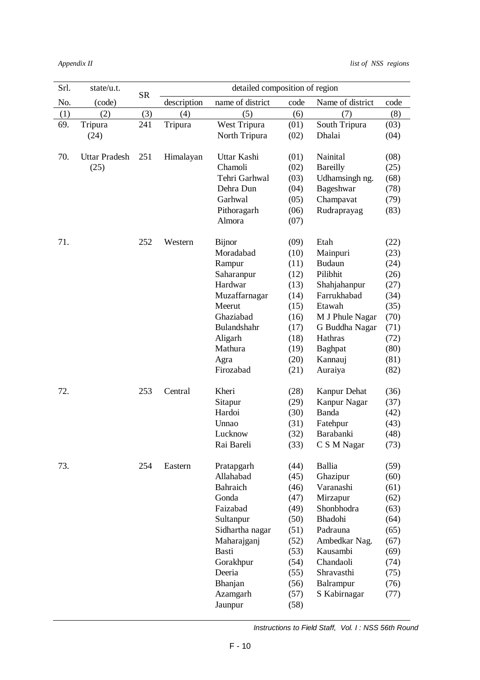| Srl. | state/u.t.    | <b>SR</b> | detailed composition of region |                  |      |                  |      |  |
|------|---------------|-----------|--------------------------------|------------------|------|------------------|------|--|
| No.  | (code)        |           | description                    | name of district | code | Name of district | code |  |
| (1)  | (2)           | (3)       | (4)                            | (5)              | (6)  | (7)              | (8)  |  |
| 69.  | Tripura       | 241       | Tripura                        | West Tripura     | (01) | South Tripura    | (03) |  |
|      | (24)          |           |                                | North Tripura    | (02) | Dhalai           | (04) |  |
|      |               |           |                                |                  |      |                  |      |  |
| 70.  | Uttar Pradesh | 251       | Himalayan                      | Uttar Kashi      | (01) | Nainital         | (08) |  |
|      | (25)          |           |                                | Chamoli          | (02) | <b>Bareilly</b>  | (25) |  |
|      |               |           |                                | Tehri Garhwal    | (03) | Udhamsingh ng.   | (68) |  |
|      |               |           |                                | Dehra Dun        | (04) | Bageshwar        | (78) |  |
|      |               |           |                                | Garhwal          | (05) | Champavat        | (79) |  |
|      |               |           |                                | Pithoragarh      | (06) | Rudraprayag      | (83) |  |
|      |               |           |                                | Almora           | (07) |                  |      |  |
|      |               |           |                                |                  |      |                  |      |  |
| 71.  |               | 252       | Western                        | <b>Bijnor</b>    | (09) | Etah             | (22) |  |
|      |               |           |                                | Moradabad        | (10) | Mainpuri         | (23) |  |
|      |               |           |                                | Rampur           | (11) | <b>Budaun</b>    | (24) |  |
|      |               |           |                                | Saharanpur       | (12) | Pilibhit         | (26) |  |
|      |               |           |                                | Hardwar          | (13) | Shahjahanpur     | (27) |  |
|      |               |           |                                | Muzaffarnagar    | (14) | Farrukhabad      | (34) |  |
|      |               |           |                                | Meerut           | (15) | Etawah           | (35) |  |
|      |               |           |                                | Ghaziabad        | (16) | M J Phule Nagar  | (70) |  |
|      |               |           |                                | Bulandshahr      | (17) | G Buddha Nagar   | (71) |  |
|      |               |           |                                | Aligarh          | (18) | Hathras          | (72) |  |
|      |               |           |                                | Mathura          | (19) | Baghpat          | (80) |  |
|      |               |           |                                | Agra             | (20) | Kannauj          | (81) |  |
|      |               |           |                                | Firozabad        | (21) | Auraiya          | (82) |  |
| 72.  |               | 253       | Central                        | Kheri            | (28) | Kanpur Dehat     | (36) |  |
|      |               |           |                                | Sitapur          | (29) | Kanpur Nagar     | (37) |  |
|      |               |           |                                | Hardoi           | (30) | Banda            | (42) |  |
|      |               |           |                                | Unnao            | (31) | Fatehpur         | (43) |  |
|      |               |           |                                | Lucknow          | (32) | Barabanki        | (48) |  |
|      |               |           |                                | Rai Bareli       | (33) | C S M Nagar      | (73) |  |
|      |               |           |                                |                  |      |                  |      |  |
| 73.  |               | 254       | Eastern                        | Pratapgarh       | (44) | Ballia           | (59) |  |
|      |               |           |                                | Allahabad        | (45) | Ghazipur         | (60) |  |
|      |               |           |                                | Bahraich         | (46) | Varanashi        | (61) |  |
|      |               |           |                                | Gonda            | (47) | Mirzapur         | (62) |  |
|      |               |           |                                | Faizabad         | (49) | Shonbhodra       | (63) |  |
|      |               |           |                                | Sultanpur        | (50) | Bhadohi          | (64) |  |
|      |               |           |                                | Sidhartha nagar  | (51) | Padrauna         | (65) |  |
|      |               |           |                                | Maharajganj      | (52) | Ambedkar Nag.    | (67) |  |
|      |               |           |                                | Basti            | (53) | Kausambi         | (69) |  |
|      |               |           |                                | Gorakhpur        | (54) | Chandaoli        | (74) |  |
|      |               |           |                                | Deeria           | (55) | Shravasthi       | (75) |  |
|      |               |           |                                | Bhanjan          | (56) | Balrampur        | (76) |  |
|      |               |           |                                | Azamgarh         | (57) | S Kabirnagar     | (77) |  |
|      |               |           |                                | Jaunpur          | (58) |                  |      |  |